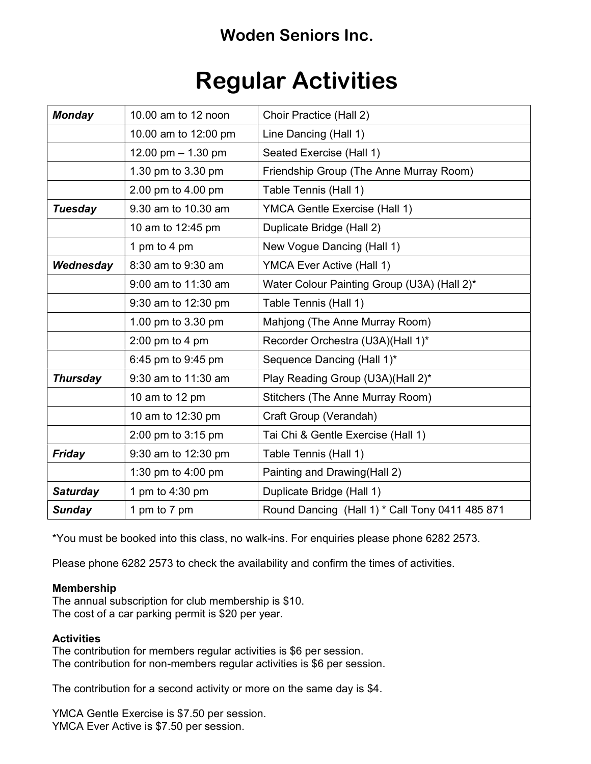## Woden Seniors Inc.

# Regular Activities

| <b>Monday</b>   | 10.00 am to 12 noon  | Choir Practice (Hall 2)                         |
|-----------------|----------------------|-------------------------------------------------|
|                 | 10.00 am to 12:00 pm | Line Dancing (Hall 1)                           |
|                 | 12.00 pm $-$ 1.30 pm | Seated Exercise (Hall 1)                        |
|                 | 1.30 pm to 3.30 pm   | Friendship Group (The Anne Murray Room)         |
|                 | 2.00 pm to 4.00 pm   | Table Tennis (Hall 1)                           |
| <b>Tuesday</b>  | 9.30 am to 10.30 am  | <b>YMCA Gentle Exercise (Hall 1)</b>            |
|                 | 10 am to 12:45 pm    | Duplicate Bridge (Hall 2)                       |
|                 | 1 pm to 4 pm         | New Vogue Dancing (Hall 1)                      |
| Wednesday       | 8:30 am to 9:30 am   | <b>YMCA Ever Active (Hall 1)</b>                |
|                 | 9:00 am to 11:30 am  | Water Colour Painting Group (U3A) (Hall 2)*     |
|                 | 9:30 am to 12:30 pm  | Table Tennis (Hall 1)                           |
|                 | 1.00 pm to 3.30 pm   | Mahjong (The Anne Murray Room)                  |
|                 | 2:00 pm to 4 pm      | Recorder Orchestra (U3A)(Hall 1)*               |
|                 | 6:45 pm to 9:45 pm   | Sequence Dancing (Hall 1)*                      |
| <b>Thursday</b> | 9:30 am to 11:30 am  | Play Reading Group (U3A)(Hall 2)*               |
|                 | 10 am to 12 pm       | Stitchers (The Anne Murray Room)                |
|                 | 10 am to 12:30 pm    | Craft Group (Verandah)                          |
|                 | 2:00 pm to 3:15 pm   | Tai Chi & Gentle Exercise (Hall 1)              |
| <b>Friday</b>   | 9:30 am to 12:30 pm  | Table Tennis (Hall 1)                           |
|                 | 1:30 pm to 4:00 pm   | Painting and Drawing (Hall 2)                   |
| <b>Saturday</b> | 1 pm to 4:30 pm      | Duplicate Bridge (Hall 1)                       |
| <b>Sunday</b>   | 1 pm to 7 pm         | Round Dancing (Hall 1) * Call Tony 0411 485 871 |

\*You must be booked into this class, no walk-ins. For enquiries please phone 6282 2573.

Please phone 6282 2573 to check the availability and confirm the times of activities.

#### Membership

The annual subscription for club membership is \$10. The cost of a car parking permit is \$20 per year.

#### **Activities**

The contribution for members regular activities is \$6 per session. The contribution for non-members regular activities is \$6 per session.

The contribution for a second activity or more on the same day is \$4.

YMCA Gentle Exercise is \$7.50 per session. YMCA Ever Active is \$7.50 per session.